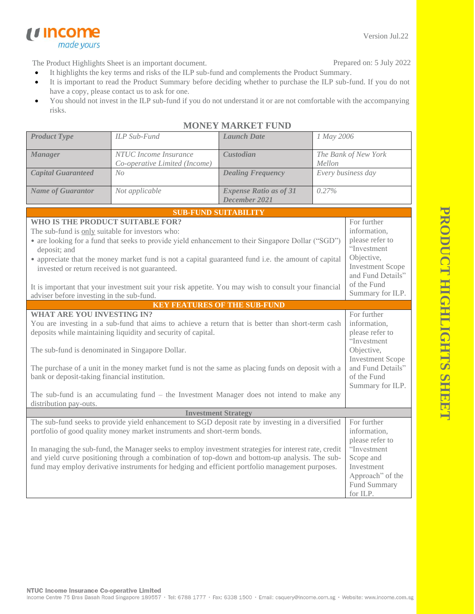Version Jul.22

The Product Highlights Sheet is an important document.

*u* income

made yours

Prepared on: 5 July 2022

- It highlights the key terms and risks of the ILP sub-fund and complements the Product Summary.
- It is important to read the Product Summary before deciding whether to purchase the ILP sub-fund. If you do not have a copy, please contact us to ask for one.
- You should not invest in the ILP sub-fund if you do not understand it or are not comfortable with the accompanying risks.

| <b>Product Type</b>                                                                                                                                                                                                                                                                                                                                                                                                                                                         | ILP Sub-Fund                                           | <b>Launch Date</b>                             | 1 May 2006                                                                                                                                 |                  |  |
|-----------------------------------------------------------------------------------------------------------------------------------------------------------------------------------------------------------------------------------------------------------------------------------------------------------------------------------------------------------------------------------------------------------------------------------------------------------------------------|--------------------------------------------------------|------------------------------------------------|--------------------------------------------------------------------------------------------------------------------------------------------|------------------|--|
| <b>Manager</b>                                                                                                                                                                                                                                                                                                                                                                                                                                                              | NTUC Income Insurance<br>Co-operative Limited (Income) | Custodian                                      | The Bank of New York<br>Mellon                                                                                                             |                  |  |
| <b>Capital Guaranteed</b>                                                                                                                                                                                                                                                                                                                                                                                                                                                   | No                                                     | <b>Dealing Frequency</b>                       | Every business day                                                                                                                         |                  |  |
| <b>Name of Guarantor</b>                                                                                                                                                                                                                                                                                                                                                                                                                                                    | Not applicable                                         | <b>Expense Ratio as of 31</b><br>December 2021 | 0.27%                                                                                                                                      |                  |  |
|                                                                                                                                                                                                                                                                                                                                                                                                                                                                             |                                                        | <b>SUB-FUND SUITABILITY</b>                    |                                                                                                                                            |                  |  |
| WHO IS THE PRODUCT SUITABLE FOR?<br>The sub-fund is only suitable for investors who:<br>• are looking for a fund that seeks to provide yield enhancement to their Singapore Dollar ("SGD")<br>deposit; and<br>• appreciate that the money market fund is not a capital guaranteed fund i.e. the amount of capital<br>invested or return received is not guaranteed.<br>It is important that your investment suit your risk appetite. You may wish to consult your financial |                                                        |                                                | For further<br>information,<br>please refer to<br>"Investment<br>Objective,<br><b>Investment Scope</b><br>and Fund Details"<br>of the Fund |                  |  |
| adviser before investing in the sub-fund.                                                                                                                                                                                                                                                                                                                                                                                                                                   |                                                        |                                                |                                                                                                                                            | Summary for ILP. |  |
|                                                                                                                                                                                                                                                                                                                                                                                                                                                                             |                                                        | <b>KEY FEATURES OF THE SUB-FUND</b>            |                                                                                                                                            |                  |  |
| <b>WHAT ARE YOU INVESTING IN?</b><br>You are investing in a sub-fund that aims to achieve a return that is better than short-term cash<br>deposits while maintaining liquidity and security of capital.<br>The sub-fund is denominated in Singapore Dollar.<br>The purchase of a unit in the money market fund is not the same as placing funds on deposit with a                                                                                                           |                                                        |                                                | For further<br>information,<br>please refer to<br>"Investment<br>Objective,<br><b>Investment Scope</b><br>and Fund Details"                |                  |  |
| bank or deposit-taking financial institution.                                                                                                                                                                                                                                                                                                                                                                                                                               |                                                        |                                                | of the Fund<br>Summary for ILP.                                                                                                            |                  |  |
| The sub-fund is an accumulating fund $-$ the Investment Manager does not intend to make any<br>distribution pay-outs.                                                                                                                                                                                                                                                                                                                                                       |                                                        |                                                |                                                                                                                                            |                  |  |
| <b>Investment Strategy</b>                                                                                                                                                                                                                                                                                                                                                                                                                                                  |                                                        |                                                |                                                                                                                                            |                  |  |
| The sub-fund seeks to provide yield enhancement to SGD deposit rate by investing in a diversified<br>portfolio of good quality money market instruments and short-term bonds.<br>In managing the sub-fund, the Manager seeks to employ investment strategies for interest rate, credit<br>and yield curve positioning through a combination of top-down and bottom-up analysis. The sub-                                                                                    |                                                        |                                                | For further<br>information,<br>please refer to<br>"Investment<br>Scope and                                                                 |                  |  |
| fund may employ derivative instruments for hedging and efficient portfolio management purposes.                                                                                                                                                                                                                                                                                                                                                                             |                                                        |                                                | Investment<br>Approach" of the<br>Fund Summary<br>for ILP. $\,$                                                                            |                  |  |

## **MONEY MARKET FUND**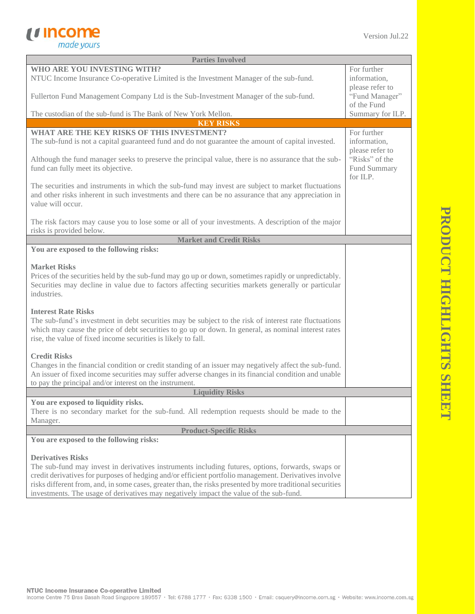

| <b>Parties Involved</b>                                                                                                                                                                                                                                                                                                                                                                                                                        |                                                  |  |  |
|------------------------------------------------------------------------------------------------------------------------------------------------------------------------------------------------------------------------------------------------------------------------------------------------------------------------------------------------------------------------------------------------------------------------------------------------|--------------------------------------------------|--|--|
| WHO ARE YOU INVESTING WITH?<br>NTUC Income Insurance Co-operative Limited is the Investment Manager of the sub-fund.                                                                                                                                                                                                                                                                                                                           | For further<br>information,                      |  |  |
| Fullerton Fund Management Company Ltd is the Sub-Investment Manager of the sub-fund.                                                                                                                                                                                                                                                                                                                                                           | please refer to<br>"Fund Manager"<br>of the Fund |  |  |
| The custodian of the sub-fund is The Bank of New York Mellon.                                                                                                                                                                                                                                                                                                                                                                                  | Summary for ILP.                                 |  |  |
| <b>KEY RISKS</b>                                                                                                                                                                                                                                                                                                                                                                                                                               |                                                  |  |  |
| <b>WHAT ARE THE KEY RISKS OF THIS INVESTMENT?</b><br>The sub-fund is not a capital guaranteed fund and do not guarantee the amount of capital invested.                                                                                                                                                                                                                                                                                        | For further<br>information,<br>please refer to   |  |  |
| Although the fund manager seeks to preserve the principal value, there is no assurance that the sub-<br>fund can fully meet its objective.                                                                                                                                                                                                                                                                                                     | "Risks" of the<br>Fund Summary<br>for ILP.       |  |  |
| The securities and instruments in which the sub-fund may invest are subject to market fluctuations<br>and other risks inherent in such investments and there can be no assurance that any appreciation in<br>value will occur.                                                                                                                                                                                                                 |                                                  |  |  |
| The risk factors may cause you to lose some or all of your investments. A description of the major<br>risks is provided below.                                                                                                                                                                                                                                                                                                                 |                                                  |  |  |
| <b>Market and Credit Risks</b>                                                                                                                                                                                                                                                                                                                                                                                                                 |                                                  |  |  |
| You are exposed to the following risks:                                                                                                                                                                                                                                                                                                                                                                                                        |                                                  |  |  |
| <b>Market Risks</b><br>Prices of the securities held by the sub-fund may go up or down, sometimes rapidly or unpredictably.<br>Securities may decline in value due to factors affecting securities markets generally or particular<br>industries.                                                                                                                                                                                              |                                                  |  |  |
| <b>Interest Rate Risks</b><br>The sub-fund's investment in debt securities may be subject to the risk of interest rate fluctuations<br>which may cause the price of debt securities to go up or down. In general, as nominal interest rates<br>rise, the value of fixed income securities is likely to fall.                                                                                                                                   |                                                  |  |  |
| <b>Credit Risks</b><br>Changes in the financial condition or credit standing of an issuer may negatively affect the sub-fund.<br>An issuer of fixed income securities may suffer adverse changes in its financial condition and unable<br>to pay the principal and/or interest on the instrument.                                                                                                                                              |                                                  |  |  |
| <b>Liquidity Risks</b>                                                                                                                                                                                                                                                                                                                                                                                                                         |                                                  |  |  |
| You are exposed to liquidity risks.<br>There is no secondary market for the sub-fund. All redemption requests should be made to the<br>Manager.                                                                                                                                                                                                                                                                                                |                                                  |  |  |
| <b>Product-Specific Risks</b>                                                                                                                                                                                                                                                                                                                                                                                                                  |                                                  |  |  |
| You are exposed to the following risks:                                                                                                                                                                                                                                                                                                                                                                                                        |                                                  |  |  |
| <b>Derivatives Risks</b><br>The sub-fund may invest in derivatives instruments including futures, options, forwards, swaps or<br>credit derivatives for purposes of hedging and/or efficient portfolio management. Derivatives involve<br>risks different from, and, in some cases, greater than, the risks presented by more traditional securities<br>investments. The usage of derivatives may negatively impact the value of the sub-fund. |                                                  |  |  |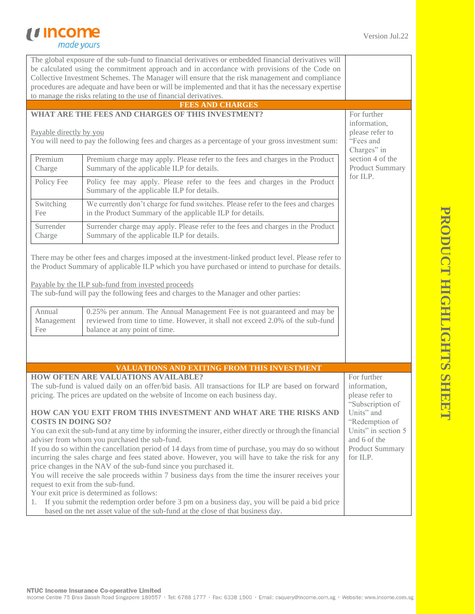## *<u>Income</u>*<br> *made yours*

| The global exposure of the sub-fund to financial derivatives or embedded financial derivatives will<br>be calculated using the commitment approach and in accordance with provisions of the Code on<br>Collective Investment Schemes. The Manager will ensure that the risk management and compliance<br>procedures are adequate and have been or will be implemented and that it has the necessary expertise                                                                                                                                                                                                                                                                                                                                                                                                                                                                                                                                                                                                                       |                                                                                                                                                |                                                        |
|-------------------------------------------------------------------------------------------------------------------------------------------------------------------------------------------------------------------------------------------------------------------------------------------------------------------------------------------------------------------------------------------------------------------------------------------------------------------------------------------------------------------------------------------------------------------------------------------------------------------------------------------------------------------------------------------------------------------------------------------------------------------------------------------------------------------------------------------------------------------------------------------------------------------------------------------------------------------------------------------------------------------------------------|------------------------------------------------------------------------------------------------------------------------------------------------|--------------------------------------------------------|
|                                                                                                                                                                                                                                                                                                                                                                                                                                                                                                                                                                                                                                                                                                                                                                                                                                                                                                                                                                                                                                     | to manage the risks relating to the use of financial derivatives.                                                                              |                                                        |
|                                                                                                                                                                                                                                                                                                                                                                                                                                                                                                                                                                                                                                                                                                                                                                                                                                                                                                                                                                                                                                     | <b>FEES AND CHARGES</b>                                                                                                                        |                                                        |
|                                                                                                                                                                                                                                                                                                                                                                                                                                                                                                                                                                                                                                                                                                                                                                                                                                                                                                                                                                                                                                     | WHAT ARE THE FEES AND CHARGES OF THIS INVESTMENT?                                                                                              | For further                                            |
| Payable directly by you<br>You will need to pay the following fees and charges as a percentage of your gross investment sum:                                                                                                                                                                                                                                                                                                                                                                                                                                                                                                                                                                                                                                                                                                                                                                                                                                                                                                        | information,<br>please refer to<br>"Fees and<br>Charges" in                                                                                    |                                                        |
| Premium<br>Charge                                                                                                                                                                                                                                                                                                                                                                                                                                                                                                                                                                                                                                                                                                                                                                                                                                                                                                                                                                                                                   | Premium charge may apply. Please refer to the fees and charges in the Product<br>Summary of the applicable ILP for details.                    | section 4 of the<br><b>Product Summary</b><br>for ILP. |
| Policy Fee                                                                                                                                                                                                                                                                                                                                                                                                                                                                                                                                                                                                                                                                                                                                                                                                                                                                                                                                                                                                                          | Policy fee may apply. Please refer to the fees and charges in the Product<br>Summary of the applicable ILP for details.                        |                                                        |
| Switching<br>Fee                                                                                                                                                                                                                                                                                                                                                                                                                                                                                                                                                                                                                                                                                                                                                                                                                                                                                                                                                                                                                    | We currently don't charge for fund switches. Please refer to the fees and charges<br>in the Product Summary of the applicable ILP for details. |                                                        |
| Surrender<br>Charge                                                                                                                                                                                                                                                                                                                                                                                                                                                                                                                                                                                                                                                                                                                                                                                                                                                                                                                                                                                                                 | Surrender charge may apply. Please refer to the fees and charges in the Product<br>Summary of the applicable ILP for details.                  |                                                        |
| There may be other fees and charges imposed at the investment-linked product level. Please refer to<br>the Product Summary of applicable ILP which you have purchased or intend to purchase for details.<br>Payable by the ILP sub-fund from invested proceeds<br>The sub-fund will pay the following fees and charges to the Manager and other parties:<br>0.25% per annum. The Annual Management Fee is not guaranteed and may be<br>Annual<br>reviewed from time to time. However, it shall not exceed 2.0% of the sub-fund<br>Management<br>balance at any point of time.<br>Fee<br>VALUATIONS AND EXITING FROM THIS INVESTMENT                                                                                                                                                                                                                                                                                                                                                                                                 |                                                                                                                                                |                                                        |
|                                                                                                                                                                                                                                                                                                                                                                                                                                                                                                                                                                                                                                                                                                                                                                                                                                                                                                                                                                                                                                     | <b>HOW OFTEN ARE VALUATIONS AVAILABLE?</b>                                                                                                     | For further                                            |
| The sub-fund is valued daily on an offer/bid basis. All transactions for ILP are based on forward<br>pricing. The prices are updated on the website of Income on each business day.                                                                                                                                                                                                                                                                                                                                                                                                                                                                                                                                                                                                                                                                                                                                                                                                                                                 | information,<br>please refer to<br>"Subscription of                                                                                            |                                                        |
| HOW CAN YOU EXIT FROM THIS INVESTMENT AND WHAT ARE THE RISKS AND<br>Units" and<br>"Redemption of<br><b>COSTS IN DOING SO?</b><br>Units" in section 5<br>You can exit the sub-fund at any time by informing the insurer, either directly or through the financial<br>and 6 of the<br>adviser from whom you purchased the sub-fund.<br>If you do so within the cancellation period of 14 days from time of purchase, you may do so without<br>Product Summary<br>incurring the sales charge and fees stated above. However, you will have to take the risk for any<br>for ILP.<br>price changes in the NAV of the sub-fund since you purchased it.<br>You will receive the sale proceeds within 7 business days from the time the insurer receives your<br>request to exit from the sub-fund.<br>Your exit price is determined as follows:<br>If you submit the redemption order before 3 pm on a business day, you will be paid a bid price<br>1.<br>based on the net asset value of the sub-fund at the close of that business day. |                                                                                                                                                |                                                        |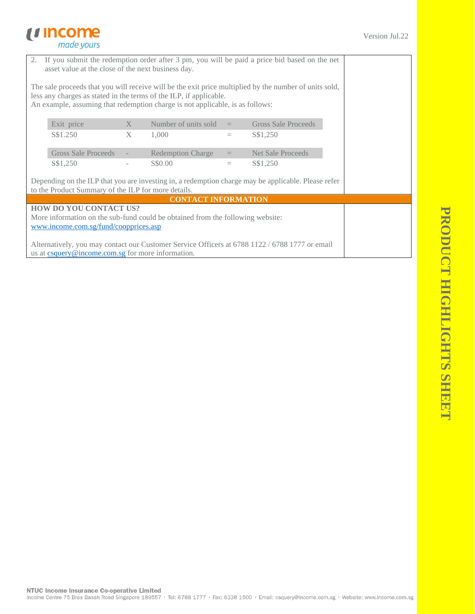## *<u>Income</u>*<br> *made yours*

| 2. If you submit the redemption order after 3 pm, you will be paid a price bid based on the net<br>asset value at the close of the next business day.                                                                                                         |                                                     |   |                            |          |                                                                                                     |  |
|---------------------------------------------------------------------------------------------------------------------------------------------------------------------------------------------------------------------------------------------------------------|-----------------------------------------------------|---|----------------------------|----------|-----------------------------------------------------------------------------------------------------|--|
| The sale proceeds that you will receive will be the exit price multiplied by the number of units sold,<br>less any charges as stated in the terms of the ILP, if applicable.<br>An example, assuming that redemption charge is not applicable, is as follows: |                                                     |   |                            |          |                                                                                                     |  |
|                                                                                                                                                                                                                                                               | Exit price                                          | X | Number of units sold $=$   |          | <b>Gross Sale Proceeds</b>                                                                          |  |
|                                                                                                                                                                                                                                                               | S\$1.250                                            | X | 1,000                      | $\equiv$ | S\$1,250                                                                                            |  |
|                                                                                                                                                                                                                                                               | <b>Gross Sale Proceeds</b>                          |   | <b>Redemption Charge</b>   | $=$      | <b>Net Sale Proceeds</b>                                                                            |  |
|                                                                                                                                                                                                                                                               | S\$1,250                                            |   | S\$0.00                    | $\equiv$ | S\$1,250                                                                                            |  |
|                                                                                                                                                                                                                                                               | to the Product Summary of the ILP for more details. |   |                            |          | Depending on the ILP that you are investing in, a redemption charge may be applicable. Please refer |  |
|                                                                                                                                                                                                                                                               |                                                     |   | <b>CONTACT INFORMATION</b> |          |                                                                                                     |  |
|                                                                                                                                                                                                                                                               | HOW DO YOU CONTACT US?                              |   |                            |          |                                                                                                     |  |
| More information on the sub-fund could be obtained from the following website:                                                                                                                                                                                |                                                     |   |                            |          |                                                                                                     |  |
| www.income.com.sg/fund/coopprices.asp                                                                                                                                                                                                                         |                                                     |   |                            |          |                                                                                                     |  |
| Alternatively, you may contact our Customer Service Officers at 6788 1122 / 6788 1777 or email                                                                                                                                                                |                                                     |   |                            |          |                                                                                                     |  |
| us at csquery@income.com.sg for more information.                                                                                                                                                                                                             |                                                     |   |                            |          |                                                                                                     |  |